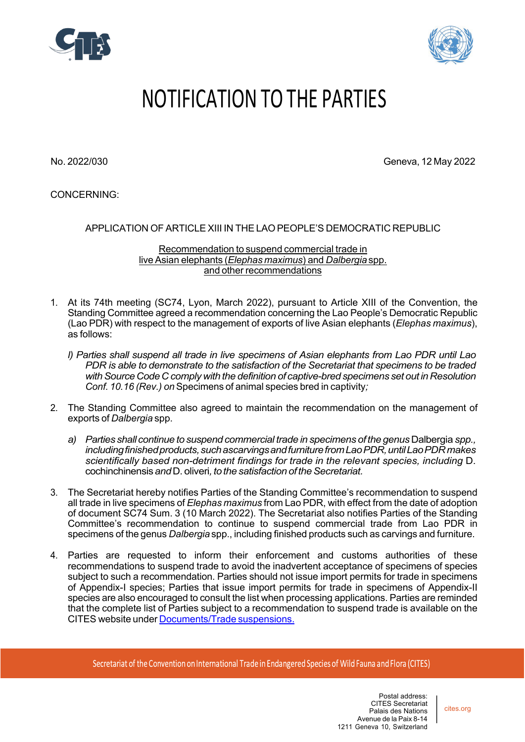



## NOTIFICATION TO THE PARTIES

No. 2022/030 Geneva, 12 May 2022

CONCERNING:

## APPLICATION OF ARTICLE XIII IN THELAO PEOPLE'S DEMOCRATIC REPUBLIC

Recommendation to suspend commercial trade in live Asian elephants (*Elephas maximus*) and *Dalbergia* spp. and other recommendations

- 1. At its 74th meeting (SC74, Lyon, March 2022), pursuant to Article XIII of the Convention, the Standing Committee agreed a recommendation concerning the Lao People's Democratic Republic (Lao PDR) with respect to the management of exports of live Asian elephants (*Elephas maximus*), as follows:
	- *l) Parties shall suspend all trade in live specimens of Asian elephants from Lao PDR until Lao PDR is able to demonstrate to the satisfaction of the Secretariat that specimens to be traded withSourceCodeC comply with the definition of captive-bred specimens set out in Resolution Conf. 10.16 (Rev.) on* Specimens of animal species bred in captivity*;*
- 2. The Standing Committee also agreed to maintain the recommendation on the management of exports of *Dalbergia* spp.
	- *a) Parties shall continue to suspend commercial trade in specimens of the genus* Dalbergia *spp.,* including finished products, such ascarvings and furniture from Lao PDR, until Lao PDR makes *scientifically based non-detriment findings for trade in the relevant species, including* D. cochinchinensis*and*D. oliveri*,tothe satisfaction oftheSecretariat.*
- 3. The Secretariat hereby notifies Parties of the Standing Committee's recommendation to suspend all trade in live specimens of *Elephas maximus* from Lao PDR, with effect from the date of adoption of document SC74 Sum. 3 (10 March 2022). The Secretariat also notifies Parties of the Standing Committee's recommendation to continue to suspend commercial trade from Lao PDR in specimens of the genus *Dalbergia* spp., including finished products such as carvings and furniture.
- 4. Parties are requested to inform their enforcement and customs authorities of these recommendations to suspend trade to avoid the inadvertent acceptance of specimens of species subject to such a recommendation. Parties should not issue import permits for trade in specimens of Appendix-I species; Parties that issue import permits for trade in specimens of Appendix-II species are also encouraged to consult the list when processing applications. Parties are reminded that the complete list of Parties subject to a recommendation to suspend trade is available on the CITES website under Documents/Trade suspensions.

Secretariat of the Convention on International Trade in Endangered Species of Wild Fauna and Flora (CITES)

cites.org